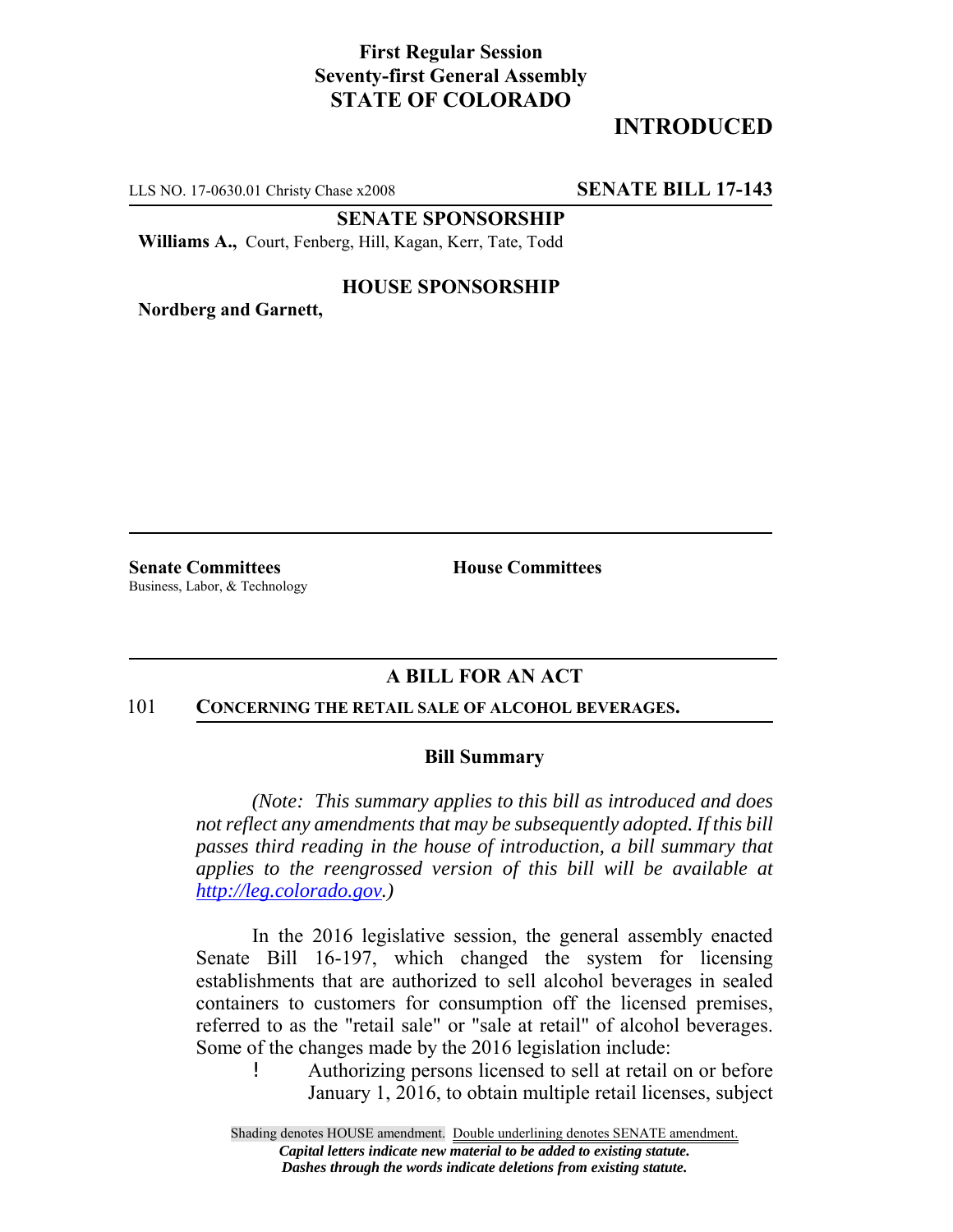## **First Regular Session Seventy-first General Assembly STATE OF COLORADO**

# **INTRODUCED**

LLS NO. 17-0630.01 Christy Chase x2008 **SENATE BILL 17-143**

**SENATE SPONSORSHIP**

**Williams A.,** Court, Fenberg, Hill, Kagan, Kerr, Tate, Todd

#### **HOUSE SPONSORSHIP**

**Nordberg and Garnett,**

**Senate Committees House Committees** Business, Labor, & Technology

### **A BILL FOR AN ACT**

#### 101 **CONCERNING THE RETAIL SALE OF ALCOHOL BEVERAGES.**

#### **Bill Summary**

*(Note: This summary applies to this bill as introduced and does not reflect any amendments that may be subsequently adopted. If this bill passes third reading in the house of introduction, a bill summary that applies to the reengrossed version of this bill will be available at http://leg.colorado.gov.)*

In the 2016 legislative session, the general assembly enacted Senate Bill 16-197, which changed the system for licensing establishments that are authorized to sell alcohol beverages in sealed containers to customers for consumption off the licensed premises, referred to as the "retail sale" or "sale at retail" of alcohol beverages. Some of the changes made by the 2016 legislation include:

! Authorizing persons licensed to sell at retail on or before January 1, 2016, to obtain multiple retail licenses, subject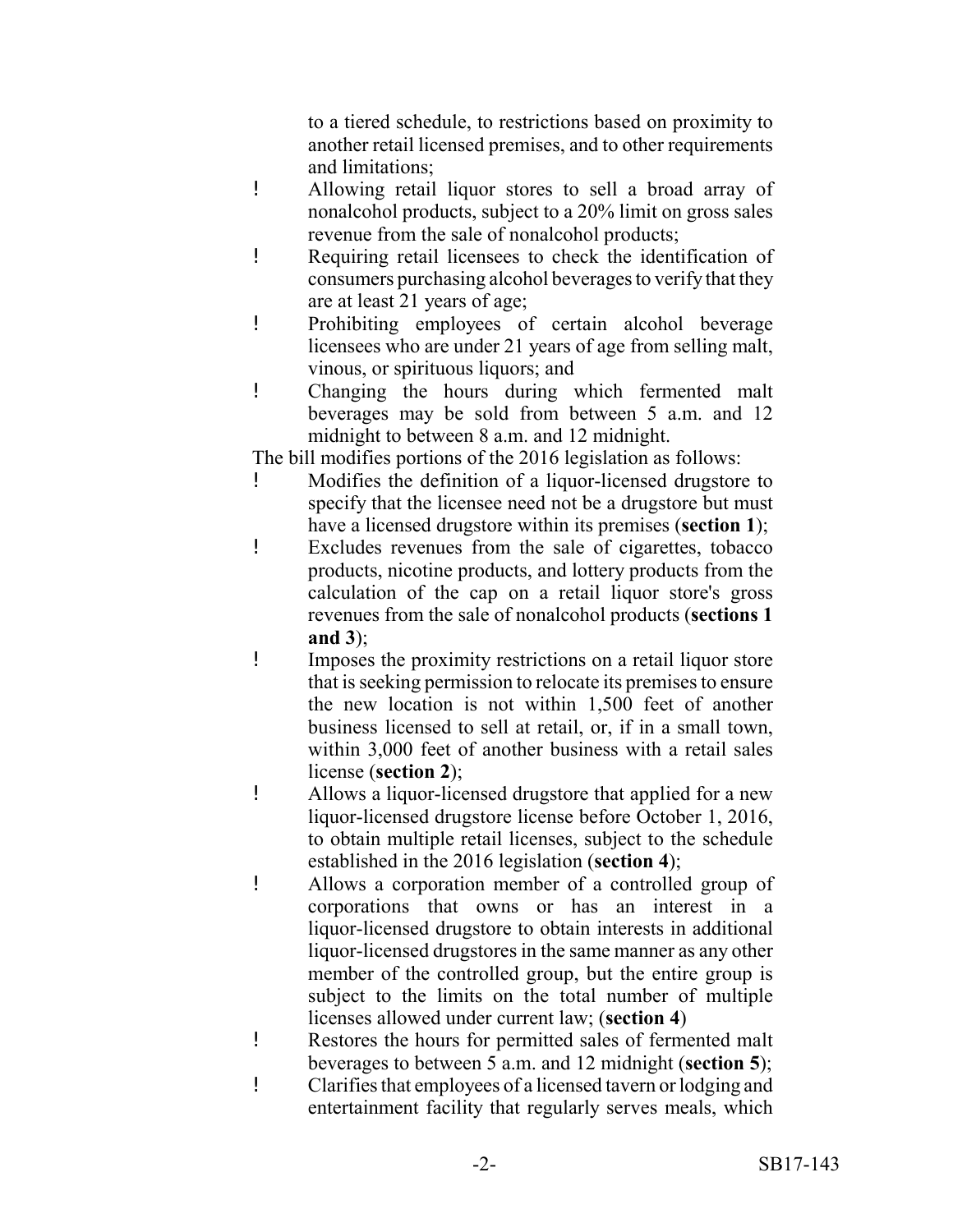to a tiered schedule, to restrictions based on proximity to another retail licensed premises, and to other requirements and limitations;

- ! Allowing retail liquor stores to sell a broad array of nonalcohol products, subject to a 20% limit on gross sales revenue from the sale of nonalcohol products;
- ! Requiring retail licensees to check the identification of consumers purchasing alcohol beverages to verify that they are at least 21 years of age;
- ! Prohibiting employees of certain alcohol beverage licensees who are under 21 years of age from selling malt, vinous, or spirituous liquors; and
- ! Changing the hours during which fermented malt beverages may be sold from between 5 a.m. and 12 midnight to between 8 a.m. and 12 midnight.

The bill modifies portions of the 2016 legislation as follows:

- ! Modifies the definition of a liquor-licensed drugstore to specify that the licensee need not be a drugstore but must have a licensed drugstore within its premises (**section 1**);
- ! Excludes revenues from the sale of cigarettes, tobacco products, nicotine products, and lottery products from the calculation of the cap on a retail liquor store's gross revenues from the sale of nonalcohol products (**sections 1 and 3**);
- ! Imposes the proximity restrictions on a retail liquor store that is seeking permission to relocate its premises to ensure the new location is not within 1,500 feet of another business licensed to sell at retail, or, if in a small town, within 3,000 feet of another business with a retail sales license (**section 2**);
- ! Allows a liquor-licensed drugstore that applied for a new liquor-licensed drugstore license before October 1, 2016, to obtain multiple retail licenses, subject to the schedule established in the 2016 legislation (**section 4**);
- ! Allows a corporation member of a controlled group of corporations that owns or has an interest in a liquor-licensed drugstore to obtain interests in additional liquor-licensed drugstores in the same manner as any other member of the controlled group, but the entire group is subject to the limits on the total number of multiple licenses allowed under current law; (**section 4**)
- ! Restores the hours for permitted sales of fermented malt beverages to between 5 a.m. and 12 midnight (**section 5**);
- ! Clarifies that employees of a licensed tavern or lodging and entertainment facility that regularly serves meals, which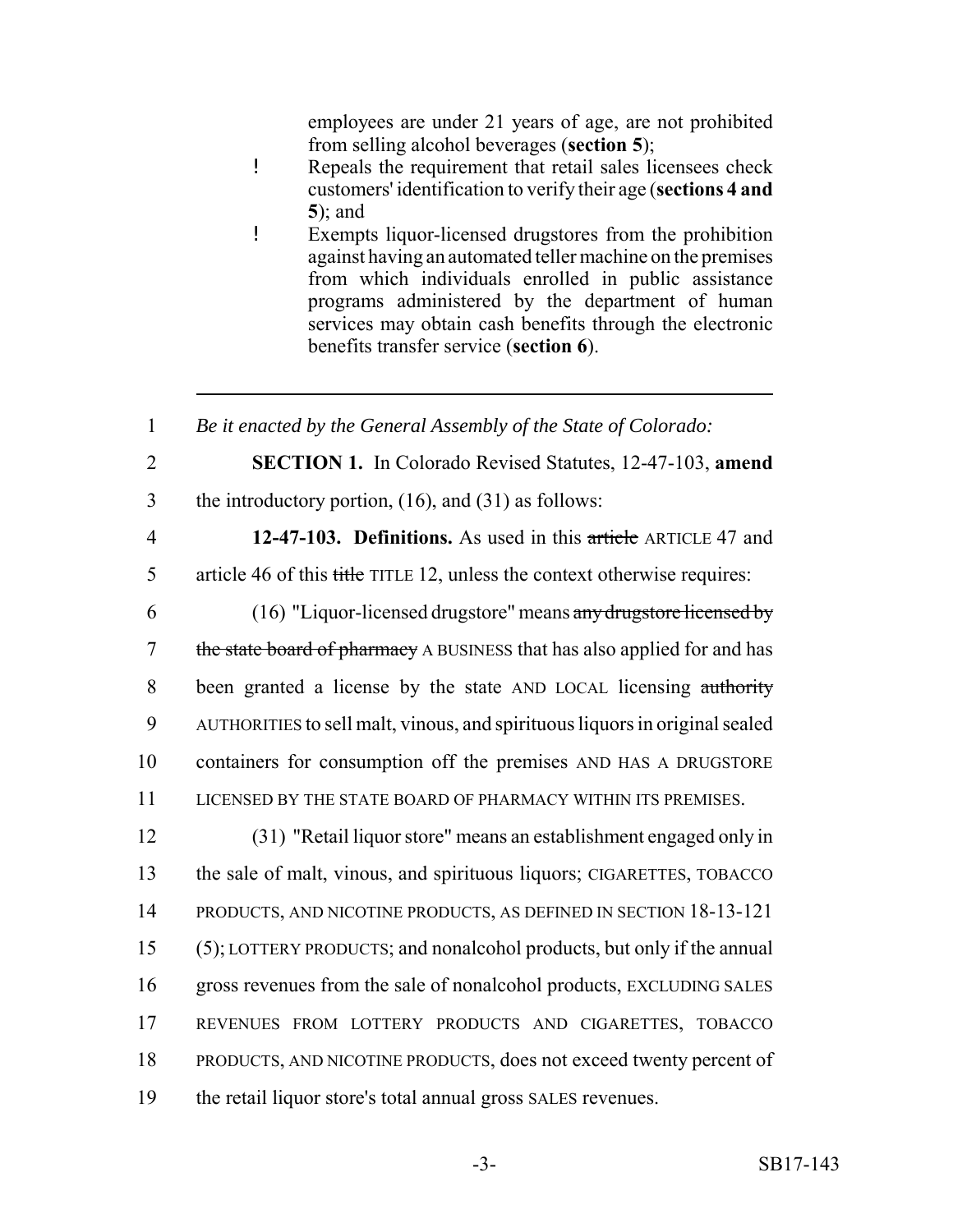employees are under 21 years of age, are not prohibited from selling alcohol beverages (**section 5**);

- ! Repeals the requirement that retail sales licensees check customers' identification to verify their age (**sections 4 and** ); and
- ! Exempts liquor-licensed drugstores from the prohibition against having an automated teller machine on the premises from which individuals enrolled in public assistance programs administered by the department of human services may obtain cash benefits through the electronic benefits transfer service (**section 6**).

 *Be it enacted by the General Assembly of the State of Colorado:* **SECTION 1.** In Colorado Revised Statutes, 12-47-103, **amend** the introductory portion, (16), and (31) as follows: **12-47-103. Definitions.** As used in this article ARTICLE 47 and article 46 of this title TITLE 12, unless the context otherwise requires: (16) "Liquor-licensed drugstore" means any drugstore licensed by 7 the state board of pharmacy A BUSINESS that has also applied for and has been granted a license by the state AND LOCAL licensing authority AUTHORITIES to sell malt, vinous, and spirituous liquors in original sealed containers for consumption off the premises AND HAS A DRUGSTORE LICENSED BY THE STATE BOARD OF PHARMACY WITHIN ITS PREMISES. (31) "Retail liquor store" means an establishment engaged only in the sale of malt, vinous, and spirituous liquors; CIGARETTES, TOBACCO PRODUCTS, AND NICOTINE PRODUCTS, AS DEFINED IN SECTION 18-13-121 (5); LOTTERY PRODUCTS; and nonalcohol products, but only if the annual gross revenues from the sale of nonalcohol products, EXCLUDING SALES REVENUES FROM LOTTERY PRODUCTS AND CIGARETTES, TOBACCO PRODUCTS, AND NICOTINE PRODUCTS, does not exceed twenty percent of the retail liquor store's total annual gross SALES revenues.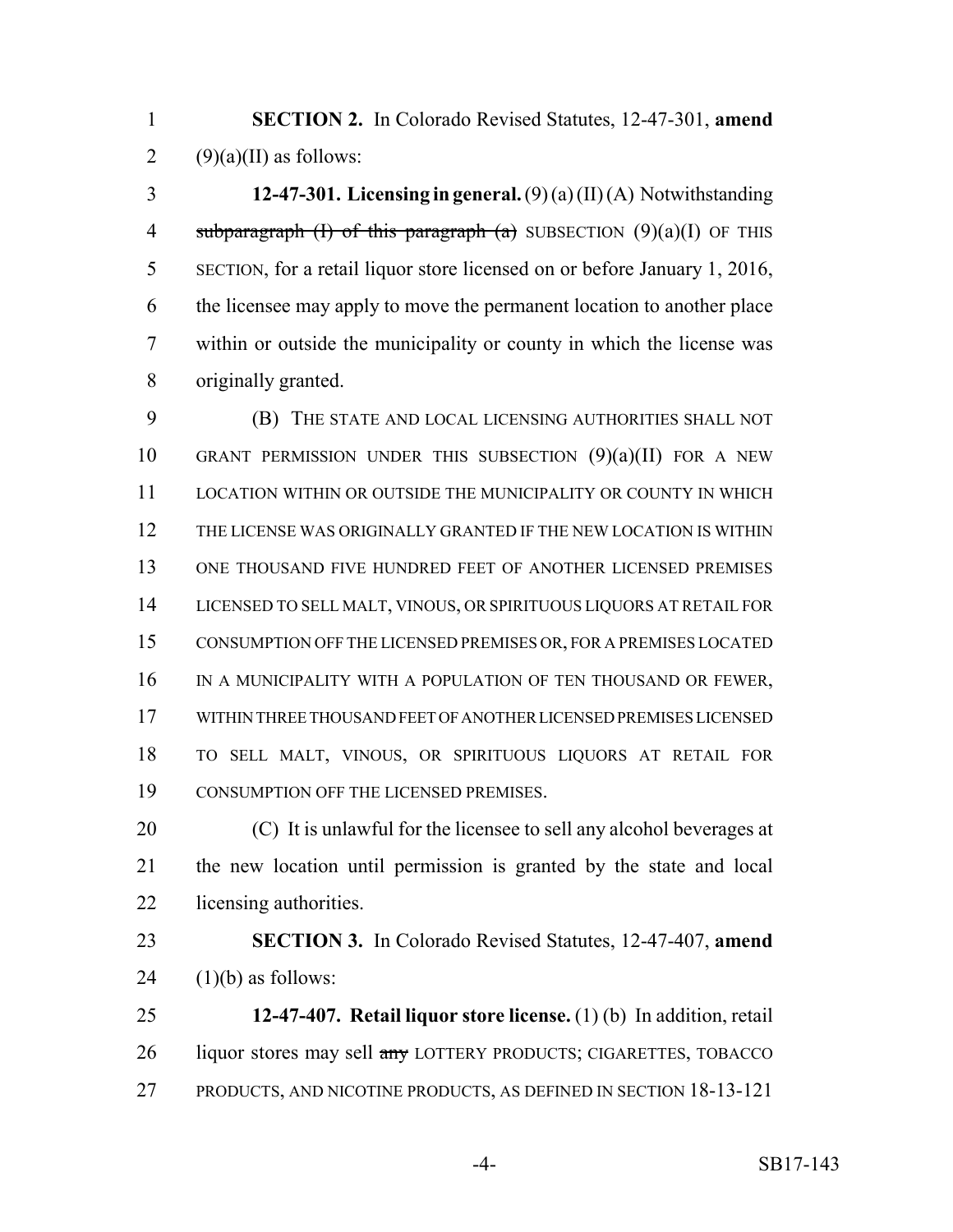**SECTION 2.** In Colorado Revised Statutes, 12-47-301, **amend** 2  $(9)(a)(II)$  as follows:

 **12-47-301. Licensing in general.** (9) (a) (II) (A) Notwithstanding 4 subparagraph (I) of this paragraph (a) SUBSECTION  $(9)(a)(I)$  OF THIS SECTION, for a retail liquor store licensed on or before January 1, 2016, the licensee may apply to move the permanent location to another place within or outside the municipality or county in which the license was originally granted.

 (B) THE STATE AND LOCAL LICENSING AUTHORITIES SHALL NOT 10 GRANT PERMISSION UNDER THIS SUBSECTION  $(9)(a)(II)$  FOR A NEW LOCATION WITHIN OR OUTSIDE THE MUNICIPALITY OR COUNTY IN WHICH THE LICENSE WAS ORIGINALLY GRANTED IF THE NEW LOCATION IS WITHIN ONE THOUSAND FIVE HUNDRED FEET OF ANOTHER LICENSED PREMISES LICENSED TO SELL MALT, VINOUS, OR SPIRITUOUS LIQUORS AT RETAIL FOR CONSUMPTION OFF THE LICENSED PREMISES OR, FOR A PREMISES LOCATED 16 IN A MUNICIPALITY WITH A POPULATION OF TEN THOUSAND OR FEWER, WITHIN THREE THOUSAND FEET OF ANOTHER LICENSED PREMISES LICENSED TO SELL MALT, VINOUS, OR SPIRITUOUS LIQUORS AT RETAIL FOR CONSUMPTION OFF THE LICENSED PREMISES.

 (C) It is unlawful for the licensee to sell any alcohol beverages at the new location until permission is granted by the state and local licensing authorities.

 **SECTION 3.** In Colorado Revised Statutes, 12-47-407, **amend** 24  $(1)(b)$  as follows:

 **12-47-407. Retail liquor store license.** (1) (b) In addition, retail 26 liquor stores may sell any LOTTERY PRODUCTS; CIGARETTES, TOBACCO PRODUCTS, AND NICOTINE PRODUCTS, AS DEFINED IN SECTION 18-13-121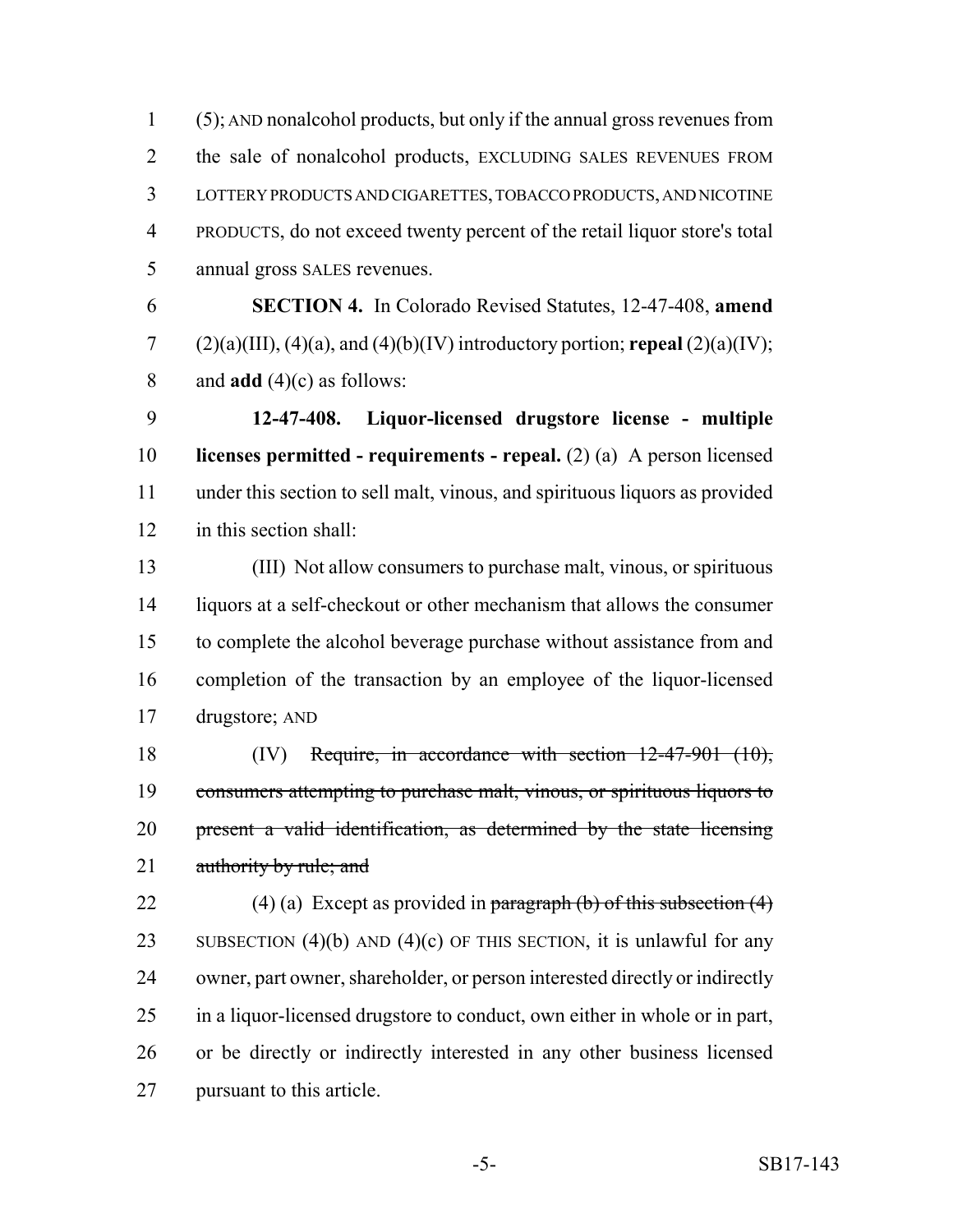(5); AND nonalcohol products, but only if the annual gross revenues from the sale of nonalcohol products, EXCLUDING SALES REVENUES FROM LOTTERY PRODUCTS AND CIGARETTES, TOBACCO PRODUCTS, AND NICOTINE PRODUCTS, do not exceed twenty percent of the retail liquor store's total annual gross SALES revenues.

 **SECTION 4.** In Colorado Revised Statutes, 12-47-408, **amend** 7 (2)(a)(III), (4)(a), and (4)(b)(IV) introductory portion; **repeal** (2)(a)(IV); and **add** (4)(c) as follows:

 **12-47-408. Liquor-licensed drugstore license - multiple licenses permitted - requirements - repeal.** (2) (a) A person licensed under this section to sell malt, vinous, and spirituous liquors as provided in this section shall:

 (III) Not allow consumers to purchase malt, vinous, or spirituous liquors at a self-checkout or other mechanism that allows the consumer to complete the alcohol beverage purchase without assistance from and completion of the transaction by an employee of the liquor-licensed drugstore; AND

 (IV) Require, in accordance with section 12-47-901 (10), consumers attempting to purchase malt, vinous, or spirituous liquors to present a valid identification, as determined by the state licensing 21 authority by rule; and

22 (4) (a) Except as provided in paragraph (b) of this subsection  $(4)$ 23 SUBSECTION  $(4)(b)$  AND  $(4)(c)$  OF THIS SECTION, it is unlawful for any owner, part owner, shareholder, or person interested directly or indirectly in a liquor-licensed drugstore to conduct, own either in whole or in part, or be directly or indirectly interested in any other business licensed pursuant to this article.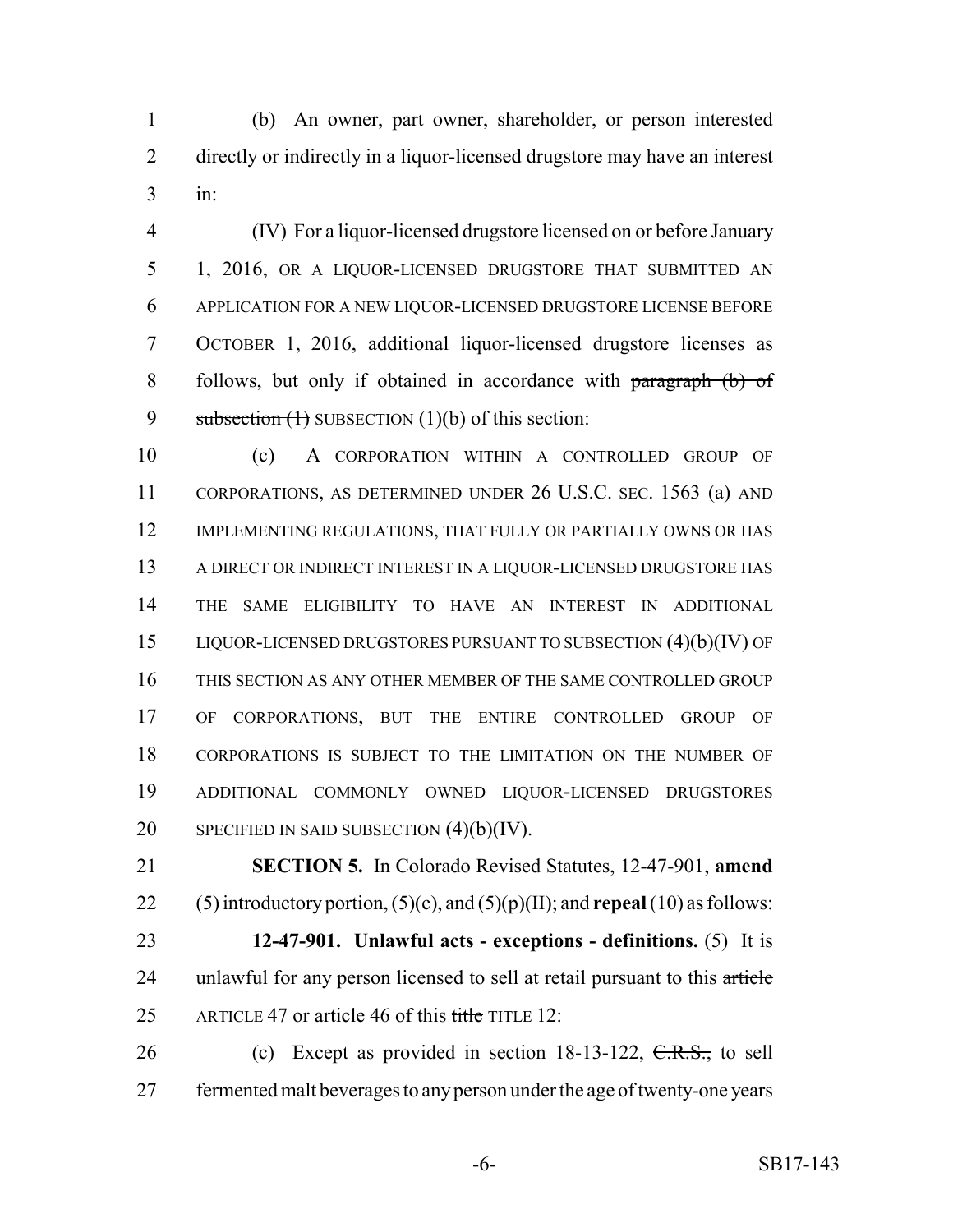(b) An owner, part owner, shareholder, or person interested directly or indirectly in a liquor-licensed drugstore may have an interest in:

 (IV) For a liquor-licensed drugstore licensed on or before January 1, 2016, OR A LIQUOR-LICENSED DRUGSTORE THAT SUBMITTED AN APPLICATION FOR A NEW LIQUOR-LICENSED DRUGSTORE LICENSE BEFORE OCTOBER 1, 2016, additional liquor-licensed drugstore licenses as follows, but only if obtained in accordance with paragraph (b) of 9 subsection  $(1)$  SUBSECTION  $(1)(b)$  of this section:

 (c) A CORPORATION WITHIN A CONTROLLED GROUP OF CORPORATIONS, AS DETERMINED UNDER 26 U.S.C. SEC. 1563 (a) AND 12 IMPLEMENTING REGULATIONS, THAT FULLY OR PARTIALLY OWNS OR HAS A DIRECT OR INDIRECT INTEREST IN A LIQUOR-LICENSED DRUGSTORE HAS THE SAME ELIGIBILITY TO HAVE AN INTEREST IN ADDITIONAL LIQUOR-LICENSED DRUGSTORES PURSUANT TO SUBSECTION (4)(b)(IV) OF THIS SECTION AS ANY OTHER MEMBER OF THE SAME CONTROLLED GROUP OF CORPORATIONS, BUT THE ENTIRE CONTROLLED GROUP OF CORPORATIONS IS SUBJECT TO THE LIMITATION ON THE NUMBER OF ADDITIONAL COMMONLY OWNED LIQUOR-LICENSED DRUGSTORES 20 SPECIFIED IN SAID SUBSECTION  $(4)(b)(IV)$ .

 **SECTION 5.** In Colorado Revised Statutes, 12-47-901, **amend** (5) introductory portion, (5)(c), and (5)(p)(II); and **repeal** (10) as follows:

 **12-47-901. Unlawful acts - exceptions - definitions.** (5) It is 24 unlawful for any person licensed to sell at retail pursuant to this article 25 ARTICLE 47 or article 46 of this title TITLE 12:

26 (c) Except as provided in section  $18-13-122$ ,  $C.R.S.,$  to sell fermented malt beverages to any person under the age of twenty-one years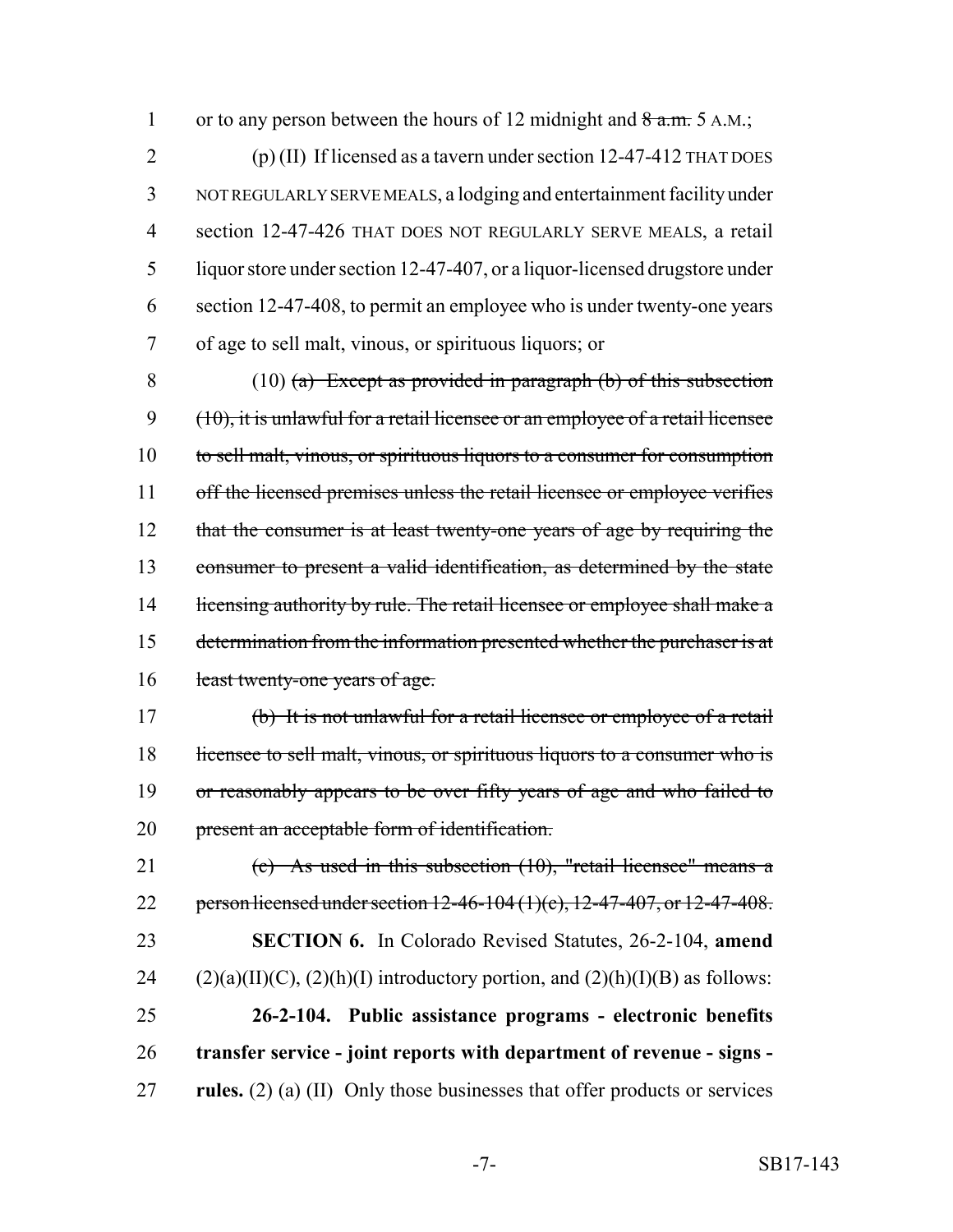1 or to any person between the hours of 12 midnight and  $8a.m. 5 A.M.$ ;

 (p) (II) If licensed as a tavern under section 12-47-412 THAT DOES NOT REGULARLY SERVE MEALS, a lodging and entertainment facility under section 12-47-426 THAT DOES NOT REGULARLY SERVE MEALS, a retail liquor store under section 12-47-407, or a liquor-licensed drugstore under section 12-47-408, to permit an employee who is under twenty-one years of age to sell malt, vinous, or spirituous liquors; or

8 (10) (a) Except as provided in paragraph (b) of this subsection (10), it is unlawful for a retail licensee or an employee of a retail licensee to sell malt, vinous, or spirituous liquors to a consumer for consumption 11 off the licensed premises unless the retail licensee or employee verifies 12 that the consumer is at least twenty-one years of age by requiring the consumer to present a valid identification, as determined by the state 14 licensing authority by rule. The retail licensee or employee shall make a 15 determination from the information presented whether the purchaser is at 16 least twenty-one years of age.

 (b) It is not unlawful for a retail licensee or employee of a retail 18 licensee to sell malt, vinous, or spirituous liquors to a consumer who is or reasonably appears to be over fifty years of age and who failed to present an acceptable form of identification.

 (c) As used in this subsection (10), "retail licensee" means a 22 person licensed under section 12-46-104 (1)(c), 12-47-407, or 12-47-408. **SECTION 6.** In Colorado Revised Statutes, 26-2-104, **amend** 24 (2)(a)(II)(C), (2)(h)(I) introductory portion, and (2)(h)(I)(B) as follows: **26-2-104. Public assistance programs - electronic benefits transfer service - joint reports with department of revenue - signs - rules.** (2) (a) (II) Only those businesses that offer products or services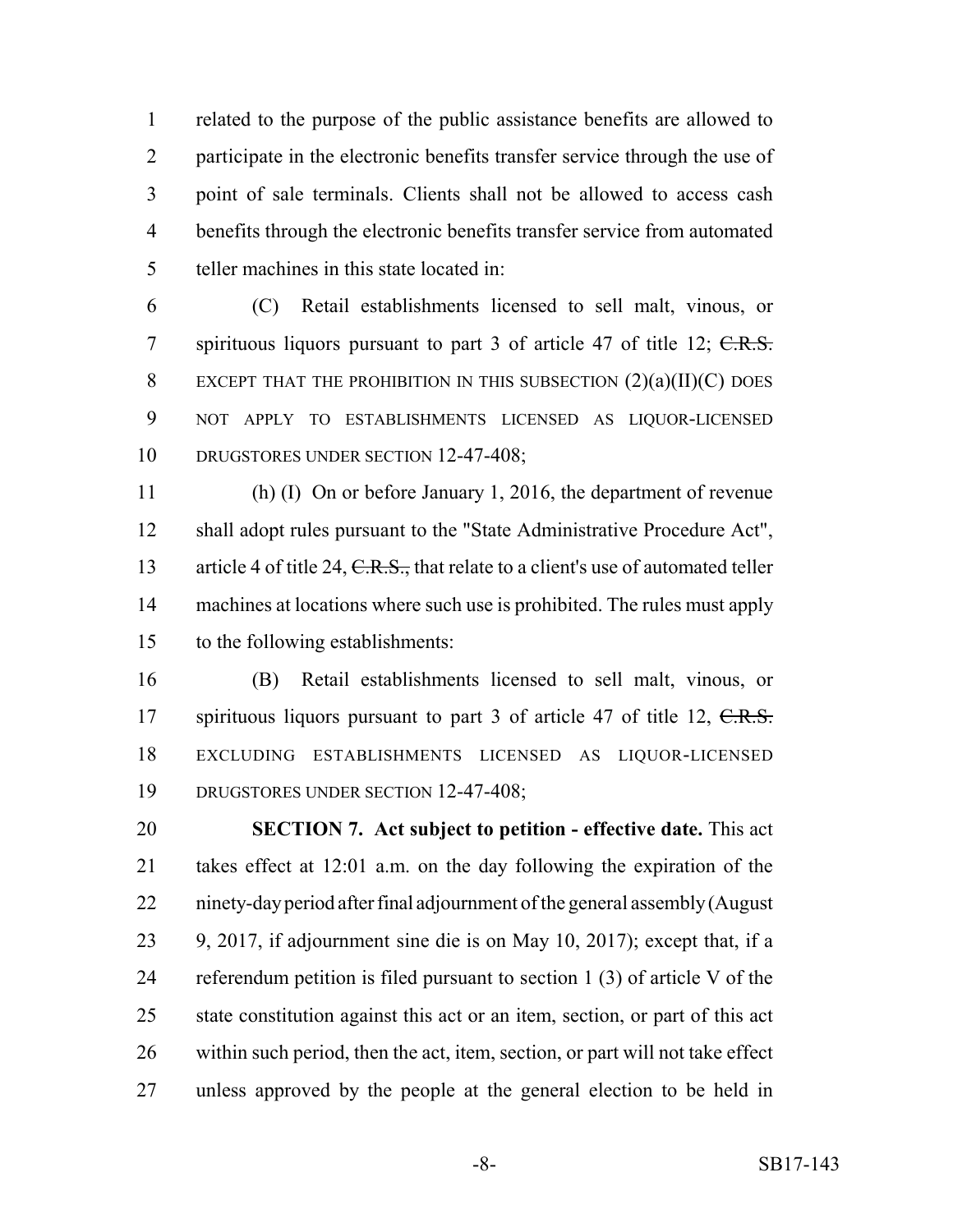related to the purpose of the public assistance benefits are allowed to participate in the electronic benefits transfer service through the use of point of sale terminals. Clients shall not be allowed to access cash benefits through the electronic benefits transfer service from automated teller machines in this state located in:

 (C) Retail establishments licensed to sell malt, vinous, or 7 spirituous liquors pursuant to part of article  $47$  of title  $12$ ;  $C.R.S.$  EXCEPT THAT THE PROHIBITION IN THIS SUBSECTION (2)(a)(II)(C) DOES NOT APPLY TO ESTABLISHMENTS LICENSED AS LIQUOR-LICENSED 10 DRUGSTORES UNDER SECTION 12-47-408;

 (h) (I) On or before January 1, 2016, the department of revenue shall adopt rules pursuant to the "State Administrative Procedure Act", 13 article 4 of title 24, C.R.S., that relate to a client's use of automated teller machines at locations where such use is prohibited. The rules must apply to the following establishments:

 (B) Retail establishments licensed to sell malt, vinous, or 17 spirituous liquors pursuant to part 3 of article 47 of title 12, C.R.S. EXCLUDING ESTABLISHMENTS LICENSED AS LIQUOR-LICENSED DRUGSTORES UNDER SECTION 12-47-408;

 **SECTION 7. Act subject to petition - effective date.** This act takes effect at 12:01 a.m. on the day following the expiration of the ninety-day period after final adjournment of the general assembly (August 9, 2017, if adjournment sine die is on May 10, 2017); except that, if a referendum petition is filed pursuant to section 1 (3) of article V of the state constitution against this act or an item, section, or part of this act within such period, then the act, item, section, or part will not take effect unless approved by the people at the general election to be held in